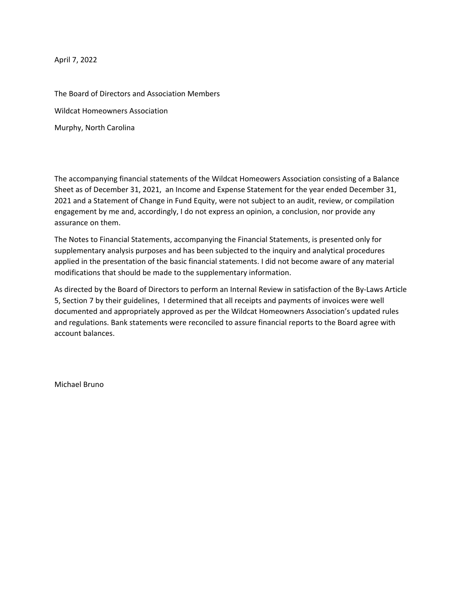April 7, 2022

The Board of Directors and Association Members Wildcat Homeowners Association Murphy, North Carolina

The accompanying financial statements of the Wildcat Homeowers Association consisting of a Balance Sheet as of December 31, 2021, an Income and Expense Statement for the year ended December 31, 2021 and a Statement of Change in Fund Equity, were not subject to an audit, review, or compilation engagement by me and, accordingly, I do not express an opinion, a conclusion, nor provide any assurance on them.

The Notes to Financial Statements, accompanying the Financial Statements, is presented only for supplementary analysis purposes and has been subjected to the inquiry and analytical procedures applied in the presentation of the basic financial statements. I did not become aware of any material modifications that should be made to the supplementary information.

As directed by the Board of Directors to perform an Internal Review in satisfaction of the By‐Laws Article 5, Section 7 by their guidelines, I determined that all receipts and payments of invoices were well documented and appropriately approved as per the Wildcat Homeowners Association's updated rules and regulations. Bank statements were reconciled to assure financial reports to the Board agree with account balances.

Michael Bruno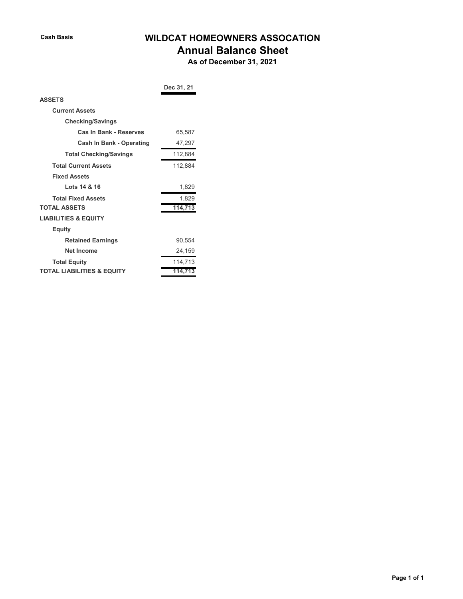# **Cash Basis WILDCAT HOMEOWNERS ASSOCATION**

## **Annual Balance Sheet**

 **As of December 31, 2021**

|                                       | Dec 31, 21 |
|---------------------------------------|------------|
| <b>ASSETS</b>                         |            |
| <b>Current Assets</b>                 |            |
| <b>Checking/Savings</b>               |            |
| Cas In Bank - Reserves                | 65,587     |
| <b>Cash In Bank - Operating</b>       | 47,297     |
| <b>Total Checking/Savings</b>         | 112,884    |
| <b>Total Current Assets</b>           | 112,884    |
| <b>Fixed Assets</b>                   |            |
| Lots 14 & 16                          | 1,829      |
| <b>Total Fixed Assets</b>             | 1,829      |
| <b>TOTAL ASSETS</b>                   | 114,713    |
| <b>LIABILITIES &amp; EQUITY</b>       |            |
| Equity                                |            |
| <b>Retained Earnings</b>              | 90,554     |
| <b>Net Income</b>                     | 24,159     |
| <b>Total Equity</b>                   | 114,713    |
| <b>TOTAL LIABILITIES &amp; EQUITY</b> | 114.       |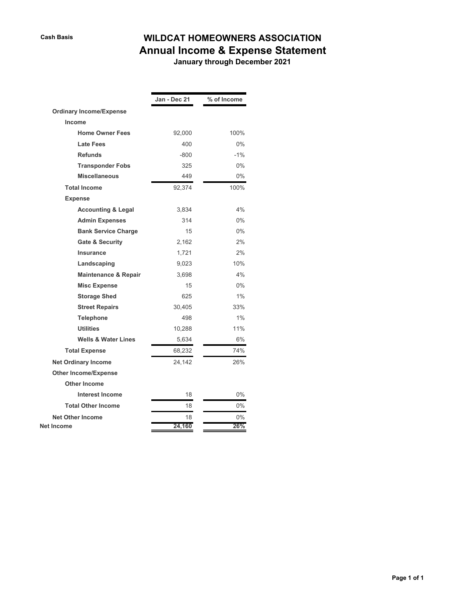# **Cash Basis WILDCAT HOMEOWNERS ASSOCIATION Annual Income & Expense Statement**

 **January through December 2021**

|                                | Jan - Dec 21 | % of Income |
|--------------------------------|--------------|-------------|
| <b>Ordinary Income/Expense</b> |              |             |
| Income                         |              |             |
| <b>Home Owner Fees</b>         | 92,000       | 100%        |
| <b>Late Fees</b>               | 400          | $0\%$       |
| <b>Refunds</b>                 | -800         | $-1\%$      |
| <b>Transponder Fobs</b>        | 325          | $0\%$       |
| <b>Miscellaneous</b>           | 449          | $0\%$       |
|                                |              |             |
| <b>Total Income</b>            | 92,374       | 100%        |
| <b>Expense</b>                 |              |             |
| <b>Accounting &amp; Legal</b>  | 3,834        | 4%          |
| <b>Admin Expenses</b>          | 314          | $0\%$       |
| <b>Bank Service Charge</b>     | 15           | $0\%$       |
| <b>Gate &amp; Security</b>     | 2,162        | 2%          |
| Insurance                      | 1,721        | 2%          |
| Landscaping                    | 9,023        | 10%         |
| Maintenance & Repair           | 3,698        | 4%          |
| <b>Misc Expense</b>            | 15           | $0\%$       |
| <b>Storage Shed</b>            | 625          | 1%          |
| <b>Street Repairs</b>          | 30,405       | 33%         |
| <b>Telephone</b>               | 498          | 1%          |
| <b>Utilities</b>               | 10,288       | 11%         |
| <b>Wells &amp; Water Lines</b> | 5,634        | 6%          |
| <b>Total Expense</b>           | 68,232       | 74%         |
| <b>Net Ordinary Income</b>     | 24,142       | 26%         |
| <b>Other Income/Expense</b>    |              |             |
| <b>Other Income</b>            |              |             |
| <b>Interest Income</b>         | 18           | $0\%$       |
| <b>Total Other Income</b>      | 18           | $0\%$       |
| <b>Net Other Income</b>        | 18           | $0\%$       |
| Net Income                     | 24,160       | 26%         |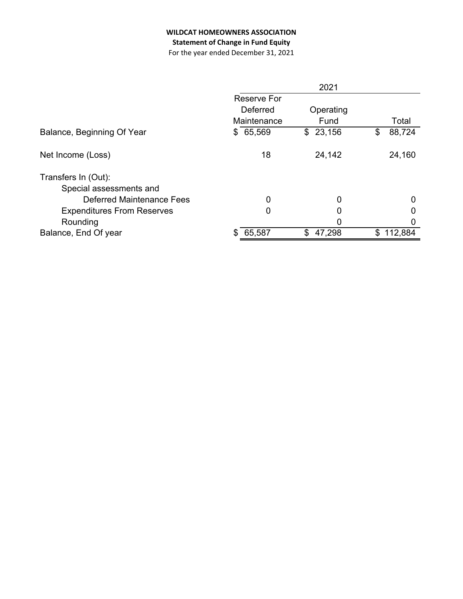## **WILDCAT HOMEOWNERS ASSOCIATION**

## **Statement of Change in Fund Equity**

For the year ended December 31, 2021

|                                   |                    | 2021         |               |
|-----------------------------------|--------------------|--------------|---------------|
|                                   | <b>Reserve For</b> |              |               |
|                                   | Deferred           | Operating    |               |
|                                   | Maintenance        | Fund         | Total         |
| Balance, Beginning Of Year        | 65,569<br>\$       | 23,156<br>\$ | 88,724<br>\$  |
| Net Income (Loss)                 | 18                 | 24,142       | 24,160        |
| Transfers In (Out):               |                    |              |               |
| Special assessments and           |                    |              |               |
| Deferred Maintenance Fees         | 0                  | 0            | 0             |
| <b>Expenditures From Reserves</b> | 0                  | 0            | 0             |
| Rounding                          |                    | 0            | O             |
| Balance, End Of year              | 65,587<br>S        | \$<br>47,298 | 112,884<br>\$ |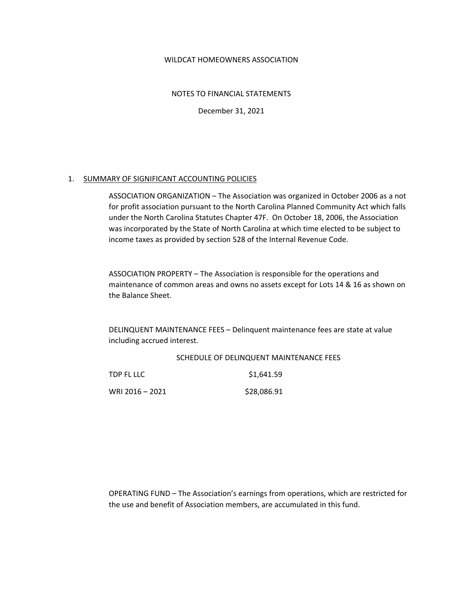#### WILDCAT HOMEOWNERS ASSOCIATION

NOTES TO FINANCIAL STATEMENTS

December 31, 2021

#### 1. SUMMARY OF SIGNIFICANT ACCOUNTING POLICIES

ASSOCIATION ORGANIZATION – The Association was organized in October 2006 as a not for profit association pursuant to the North Carolina Planned Community Act which falls under the North Carolina Statutes Chapter 47F. On October 18, 2006, the Association was incorporated by the State of North Carolina at which time elected to be subject to income taxes as provided by section 528 of the Internal Revenue Code.

ASSOCIATION PROPERTY – The Association is responsible for the operations and maintenance of common areas and owns no assets except for Lots 14 & 16 as shown on the Balance Sheet.

DELINQUENT MAINTENANCE FEES – Delinquent maintenance fees are state at value including accrued interest.

#### SCHEDULE OF DELINQUENT MAINTENANCE FEES

| TDP FL LLC      | \$1,641.59  |
|-----------------|-------------|
| WRI 2016 - 2021 | \$28,086.91 |

OPERATING FUND – The Association's earnings from operations, which are restricted for the use and benefit of Association members, are accumulated in this fund.